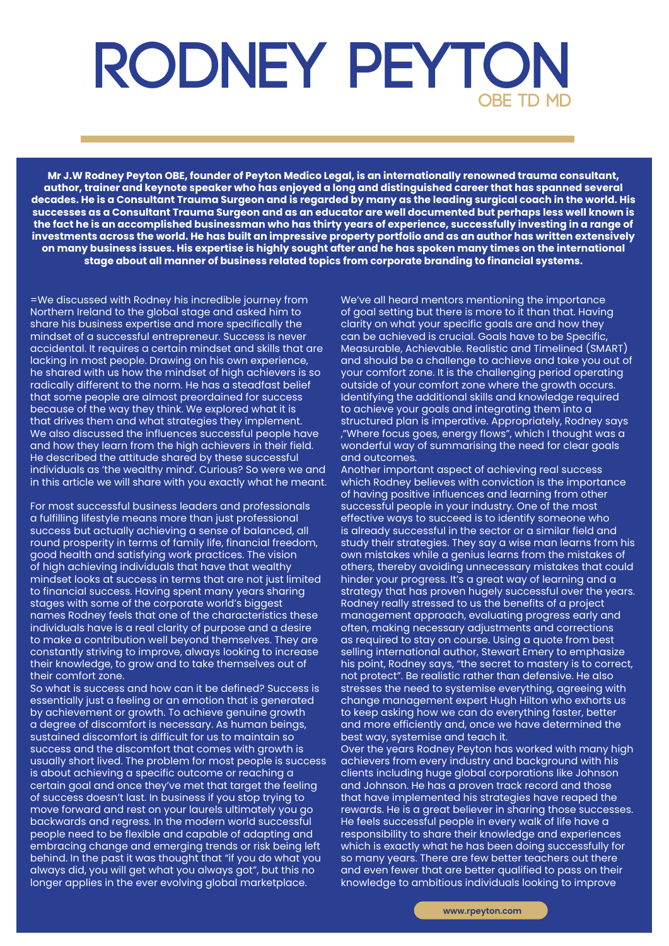## **RODNEY PEYTON OBE TD MD**

**Mr J.W Rodney Peyton OBE, founder of Peyton Medico Legal, is an internationally renowned trauma consultant, author, trainer and keynote speaker who has enjoyed a long and distinguished career that has spanned several decades. He is a Consultant Trauma Surgeon and is regarded by many as the leading surgical coach in the world. His successes as a Consultant Trauma Surgeon and as an educator are well documented but perhaps less well known is the fact he is an accomplished businessman who has thirty years of experience, successfully investing in a range of investments across the world. He has built an impressive property portfolio and as an author has written extensively on many business issues. His expertise is highly sought after and he has spoken many times on the international stage about all manner of business related topics from corporate branding to financial systems.** 

=We discussed with Rodney his incredible journey from Northern Ireland to the global stage and asked him to share his business expertise and more specifically the mindset of a successful entrepreneur. Success is never accidental. It requires a certain mindset and skills that are lacking in most people. Drawing on his own experience, he shared with us how the mindset of high achievers is so radically different to the norm. He has a steadfast belief that some people are almost preordained for success because of the way they think. We explored what it is that drives them and what strategies they implement. We also discussed the influences successful people have and how they learn from the high achievers in their field. He described the attitude shared by these successful individuals as 'the wealthy mind'. Curious? So were we and in this article we will share with you exactly what he meant.

For most successful business leaders and professionals a fulfilling lifestyle means more than just professional success but actually achieving a sense of balanced, all round prosperity in terms of family life, financial freedom, good health and satisfying work practices. The vision of high achieving individuals that have that wealthy mindset looks at success in terms that are not just limited to financial success. Having spent many years sharing stages with some of the corporate world's biggest names Rodney feels that one of the characteristics these individuals have is a real clarity of purpose and a desire to make a contribution well beyond themselves. They are constantly striving to improve, always looking to increase their knowledge, to grow and to take themselves out of their comfort zone.

So what is success and how can it be defined? Success is essentially just a feeling or an emotion that is generated by achievement or growth. To achieve genuine growth a degree of discomfort is necessary. As human beings, sustained discomfort is difficult for us to maintain so success and the discomfort that comes with growth is usually short lived. The problem for most people is success is about achieving a specific outcome or reaching a certain goal and once they've met that target the feeling of success doesn't last. In business if you stop trying to move forward and rest on your laurels ultimately you go backwards and regress. In the modern world successful people need to be flexible and capable of adapting and embracing change and emerging trends or risk being left behind. In the past it was thought that "if you do what you always did, you will get what you always got", but this no longer applies in the ever evolving global marketplace.

We've all heard mentors mentioning the importance of goal setting but there is more to it than that. Having clarity on what your specific goals are and how they can be achieved is crucial. Goals have to be Specific, Measurable, Achievable. Realistic and Timelined (SMART) and should be a challenge to achieve and take you out of your comfort zone. It is the challenging period operating outside of your comfort zone where the growth occurs. Identifying the additional skills and knowledge required to achieve your goals and integrating them into a structured plan is imperative. Appropriately, Rodney says ,"Where focus goes, energy flows", which I thought was a wonderful way of summarising the need for clear goals and outcomes.

Another important aspect of achieving real success which Rodney believes with conviction is the importance of having positive influences and learning from other successful people in your industry. One of the most effective ways to succeed is to identify someone who is already successful in the sector or a similar field and study their strategies. They say a wise man learns from his own mistakes while a genius learns from the mistakes of others, thereby avoiding unnecessary mistakes that could hinder your progress. It's a great way of learning and a strategy that has proven hugely successful over the years. Rodney really stressed to us the benefits of a project management approach, evaluating progress early and often, making necessary adjustments and corrections as required to stay on course. Using a quote from best selling international author, Stewart Emery to emphasize his point, Rodney says, "the secret to mastery is to correct, not protect". Be realistic rather than defensive. He also stresses the need to systemise everything, agreeing with change management expert Hugh Hilton who exhorts us to keep asking how we can do everything faster, better and more efficiently and, once we have determined the best way, systemise and teach it.

Over the years Rodney Peyton has worked with many high achievers from every industry and background with his clients including huge global corporations like Johnson and Johnson. He has a proven track record and those that have implemented his strategies have reaped the rewards. He is a great believer in sharing those successes. He feels successful people in every walk of life have a responsibility to share their knowledge and experiences which is exactly what he has been doing successfully for so many years. There are few better teachers out there and even fewer that are better qualified to pass on their knowledge to ambitious individuals looking to improve